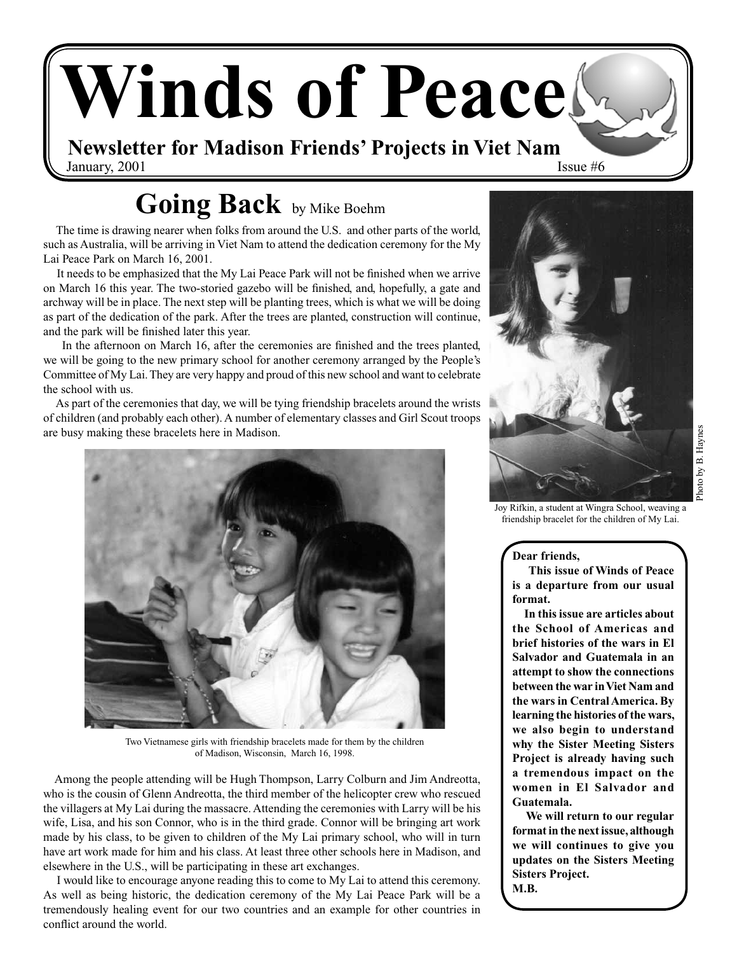# **Winds of Peace**

**Newsletter for Madison Friends' Projects in Viet Nam** January,  $2001$  Issue  $#6$ 

## **Going Back** by Mike Boehm

 The time is drawing nearer when folks from around the U.S. and other parts of the world, such as Australia, will be arriving in Viet Nam to attend the dedication ceremony for the My Lai Peace Park on March 16, 2001.

 It needs to be emphasized that the My Lai Peace Park will not be finished when we arrive on March 16 this year. The two‑storied gazebo will be finished, and, hopefully, a gate and archway will be in place. The next step will be planting trees, which is what we will be doing as part of the dedication of the park. After the trees are planted, construction will continue, and the park will be finished later this year.

 In the afternoon on March 16, after the ceremonies are finished and the trees planted, we will be going to the new primary school for another ceremony arranged by the People's Committee of My Lai. They are very happy and proud of this new school and want to celebrate the school with us.

 As part of the ceremonies that day, we will be tying friendship bracelets around the wrists of children (and probably each other). A number of elementary classes and Girl Scout troops are busy making these bracelets here in Madison.



Two Vietnamese girls with friendship bracelets made for them by the children of Madison, Wisconsin, March 16, 1998.

 Among the people attending will be Hugh Thompson, Larry Colburn and Jim Andreotta, who is the cousin of Glenn Andreotta, the third member of the helicopter crew who rescued the villagers at My Lai during the massacre. Attending the ceremonies with Larry will be his wife, Lisa, and his son Connor, who is in the third grade. Connor will be bringing art work made by his class, to be given to children of the My Lai primary school, who will in turn have art work made for him and his class. At least three other schools here in Madison, and elsewhere in the U.S., will be participating in these art exchanges.

 I would like to encourage anyone reading this to come to My Lai to attend this ceremony. As well as being historic, the dedication ceremony of the My Lai Peace Park will be a tremendously healing event for our two countries and an example for other countries in conflict around the world.



Photo by B. Haynes Photo by B. Haynes

Joy Rifkin, a student at Wingra School, weaving a friendship bracelet for the children of My Lai.

#### **Dear friends,**

 **This issue of Winds of Peace is a departure from our usual format.** 

 **In this issue are articles about the School of Americas and brief histories of the wars in El Salvador and Guatemala in an attempt to show the connections between the war in Viet Nam and the wars in Central America. By learning the histories of the wars, we also begin to understand why the Sister Meeting Sisters Project is already having such a tremendous impact on the women in El Salvador and Guatemala.** 

 **We will return to our regular format in the next issue, although we will continues to give you updates on the Sisters Meeting Sisters Project. M.B.**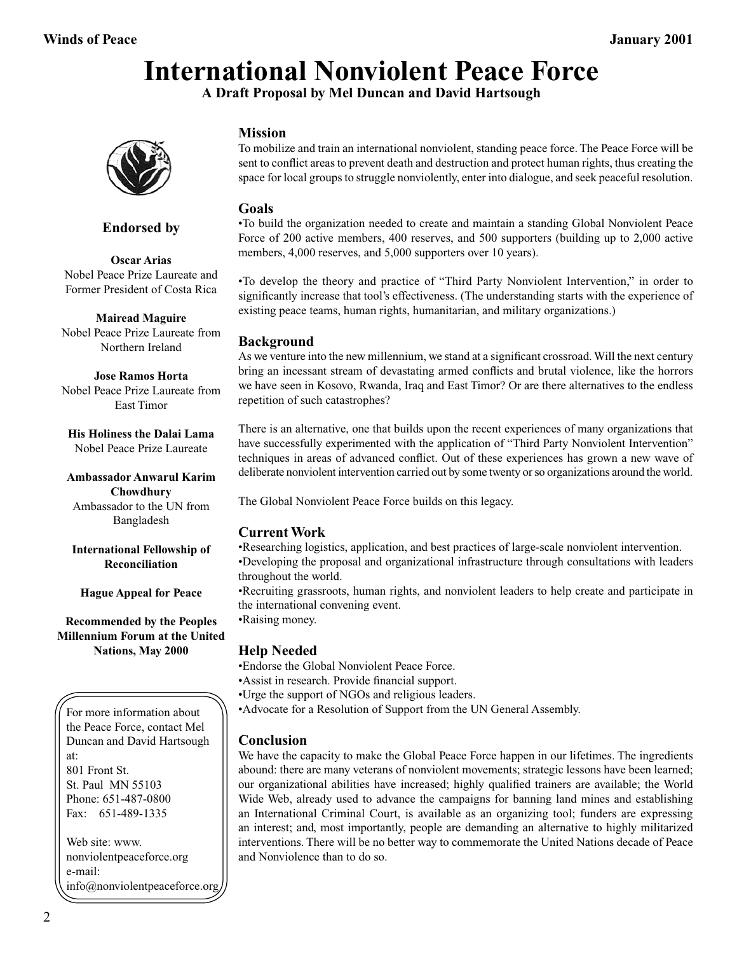## **International Nonviolent Peace Force**

**A Draft Proposal by Mel Duncan and David Hartsough**



#### **Endorsed by**

**Oscar Arias** Nobel Peace Prize Laureate and Former President of Costa Rica

**Mairead Maguire** Nobel Peace Prize Laureate from Northern Ireland

**Jose Ramos Horta** Nobel Peace Prize Laureate from East Timor

**His Holiness the Dalai Lama** Nobel Peace Prize Laureate

**Ambassador Anwarul Karim Chowdhury** Ambassador to the UN from Bangladesh

**International Fellowship of Reconciliation**

**Hague Appeal for Peace**

**Recommended by the Peoples Millennium Forum at the United Nations, May 2000**

For more information about the Peace Force, contact Mel Duncan and David Hartsough at: 801 Front St. St. Paul MN 55103 Phone: 651-487‑0800 Fax: 651-489-1335

Web site: www. nonviolentpeaceforce.org e-mail: info@nonviolentpeaceforce.org

#### **Mission**

To mobilize and train an international nonviolent, standing peace force. The Peace Force will be sent to conflict areas to prevent death and destruction and protect human rights, thus creating the space for local groups to struggle nonviolently, enter into dialogue, and seek peaceful resolution.

#### **Goals**

•To build the organization needed to create and maintain a standing Global Nonviolent Peace Force of 200 active members, 400 reserves, and 500 supporters (building up to 2,000 active members, 4,000 reserves, and 5,000 supporters over 10 years).

•To develop the theory and practice of "Third Party Nonviolent Intervention," in order to significantly increase that tool's effectiveness. (The understanding starts with the experience of existing peace teams, human rights, humanitarian, and military organizations.)

#### **Background**

As we venture into the new millennium, we stand at a significant crossroad. Will the next century bring an incessant stream of devastating armed conflicts and brutal violence, like the horrors we have seen in Kosovo, Rwanda, Iraq and East Timor? Or are there alternatives to the endless repetition of such catastrophes?

There is an alternative, one that builds upon the recent experiences of many organizations that have successfully experimented with the application of "Third Party Nonviolent Intervention" techniques in areas of advanced conflict. Out of these experiences has grown a new wave of deliberate nonviolent intervention carried out by some twenty or so organizations around the world.

The Global Nonviolent Peace Force builds on this legacy.

#### **Current Work**

•Researching logistics, application, and best practices of large‑scale nonviolent intervention. •Developing the proposal and organizational infrastructure through consultations with leaders throughout the world.

•Recruiting grassroots, human rights, and nonviolent leaders to help create and participate in the international convening event.

•Raising money.

#### **Help Needed**

•Endorse the Global Nonviolent Peace Force.

•Assist in research. Provide financial support.

•Urge the support of NGOs and religious leaders.

•Advocate for a Resolution of Support from the UN General Assembly.

#### **Conclusion**

We have the capacity to make the Global Peace Force happen in our lifetimes. The ingredients abound: there are many veterans of nonviolent movements; strategic lessons have been learned; our organizational abilities have increased; highly qualified trainers are available; the World Wide Web, already used to advance the campaigns for banning land mines and establishing an International Criminal Court, is available as an organizing tool; funders are expressing an interest; and, most importantly, people are demanding an alternative to highly militarized interventions. There will be no better way to commemorate the United Nations decade of Peace and Nonviolence than to do so.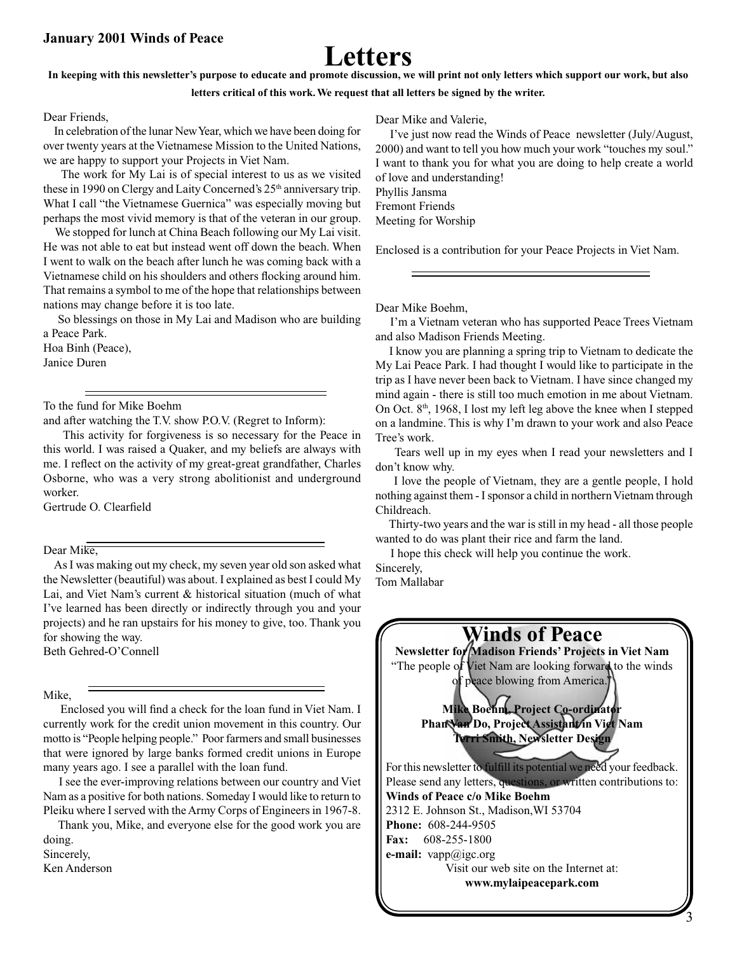## **Letters**

#### **In keeping with this newsletter's purpose to educate and promote discussion, we will print not only letters which support our work, but also**

**letters critical of this work. We request that all letters be signed by the writer.**

#### Dear Friends,

 In celebration of the lunar New Year, which we have been doing for over twenty years at the Vietnamese Mission to the United Nations, we are happy to support your Projects in Viet Nam.

 The work for My Lai is of special interest to us as we visited these in 1990 on Clergy and Laity Concerned's 25<sup>th</sup> anniversary trip. What I call "the Vietnamese Guernica" was especially moving but perhaps the most vivid memory is that of the veteran in our group.

 We stopped for lunch at China Beach following our My Lai visit. He was not able to eat but instead went off down the beach. When I went to walk on the beach after lunch he was coming back with a Vietnamese child on his shoulders and others flocking around him. That remains a symbol to me of the hope that relationships between nations may change before it is too late.

 So blessings on those in My Lai and Madison who are building a Peace Park.

Hoa Binh (Peace), Janice Duren

To the fund for Mike Boehm

and after watching the T.V. show P.O.V. (Regret to Inform):

 This activity for forgiveness is so necessary for the Peace in this world. I was raised a Quaker, and my beliefs are always with me. I reflect on the activity of my great‑great grandfather, Charles Osborne, who was a very strong abolitionist and underground worker.

Gertrude O. Clearfield

Dear Mike,

 As I was making out my check, my seven year old son asked what the Newsletter (beautiful) was about. I explained as best I could My Lai, and Viet Nam's current & historical situation (much of what I've learned has been directly or indirectly through you and your projects) and he ran upstairs for his money to give, too. Thank you for showing the way. Beth Gehred‑O'Connell

Mike,

 Enclosed you will find a check for the loan fund in Viet Nam. I currently work for the credit union movement in this country. Our motto is "People helping people." Poor farmers and small businesses that were ignored by large banks formed credit unions in Europe many years ago. I see a parallel with the loan fund.

 I see the ever‑improving relations between our country and Viet Nam as a positive for both nations. Someday I would like to return to Pleiku where I served with the Army Corps of Engineers in 1967‑8.

 Thank you, Mike, and everyone else for the good work you are doing. Sincerely,

Ken Anderson

Dear Mike and Valerie,

 I've just now read the Winds of Peace newsletter (July/August, 2000) and want to tell you how much your work "touches my soul." I want to thank you for what you are doing to help create a world of love and understanding! Phyllis Jansma Fremont Friends Meeting for Worship

Enclosed is a contribution for your Peace Projects in Viet Nam.

Dear Mike Boehm,

 I'm a Vietnam veteran who has supported Peace Trees Vietnam and also Madison Friends Meeting.

 I know you are planning a spring trip to Vietnam to dedicate the My Lai Peace Park. I had thought I would like to participate in the trip as I have never been back to Vietnam. I have since changed my mind again ‑ there is still too much emotion in me about Vietnam. On Oct.  $8<sup>th</sup>$ , 1968, I lost my left leg above the knee when I stepped on a landmine. This is why I'm drawn to your work and also Peace Tree's work.

 Tears well up in my eyes when I read your newsletters and I don't know why.

 I love the people of Vietnam, they are a gentle people, I hold nothing against them ‑ I sponsor a child in northern Vietnam through Childreach.

Thirty-two years and the war is still in my head - all those people wanted to do was plant their rice and farm the land.

I hope this check will help you continue the work.

Sincerely, Tom Mallabar

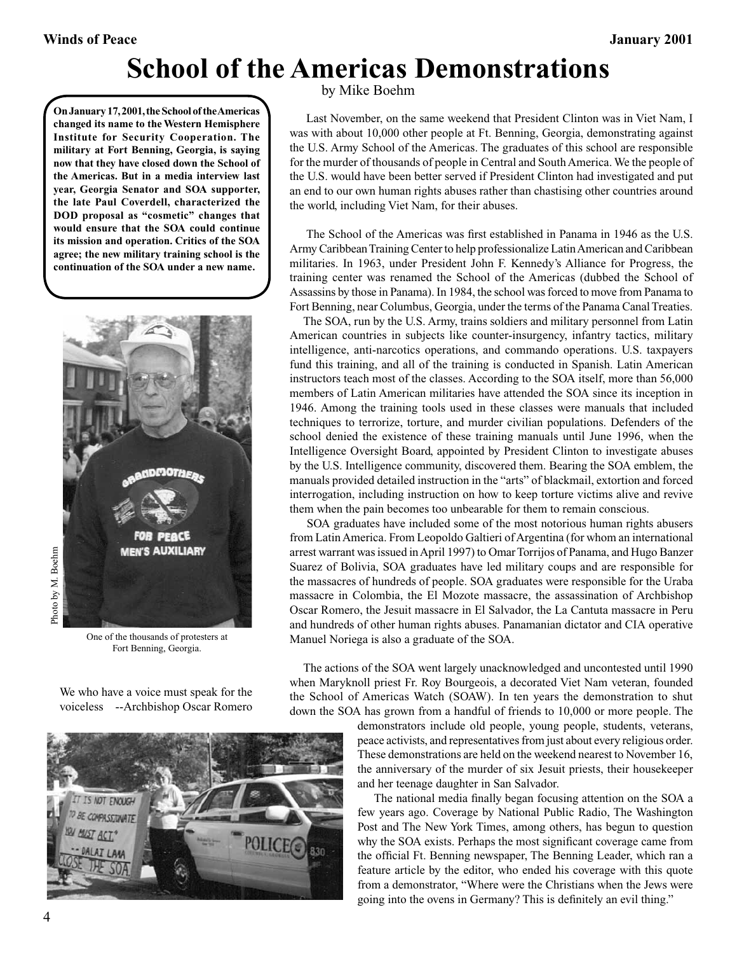## **School of the Americas Demonstrations**

by Mike Boehm

 Last November, on the same weekend that President Clinton was in Viet Nam, I was with about 10,000 other people at Ft. Benning, Georgia, demonstrating against the U.S. Army School of the Americas. The graduates of this school are responsible for the murder of thousands of people in Central and South America. We the people of the U.S. would have been better served if President Clinton had investigated and put an end to our own human rights abuses rather than chastising other countries around the world, including Viet Nam, for their abuses.

 The School of the Americas was first established in Panama in 1946 as the U.S. Army Caribbean Training Center to help professionalize Latin American and Caribbean militaries. In 1963, under President John F. Kennedy's Alliance for Progress, the training center was renamed the School of the Americas (dubbed the School of Assassins by those in Panama). In 1984, the school was forced to move from Panama to Fort Benning, near Columbus, Georgia, under the terms of the Panama Canal Treaties.

 The SOA, run by the U.S. Army, trains soldiers and military personnel from Latin American countries in subjects like counter‑insurgency, infantry tactics, military intelligence, anti-narcotics operations, and commando operations. U.S. taxpayers fund this training, and all of the training is conducted in Spanish. Latin American instructors teach most of the classes. According to the SOA itself, more than 56,000 members of Latin American militaries have attended the SOA since its inception in 1946. Among the training tools used in these classes were manuals that included techniques to terrorize, torture, and murder civilian populations. Defenders of the school denied the existence of these training manuals until June 1996, when the Intelligence Oversight Board, appointed by President Clinton to investigate abuses by the U.S. Intelligence community, discovered them. Bearing the SOA emblem, the manuals provided detailed instruction in the "arts" of blackmail, extortion and forced interrogation, including instruction on how to keep torture victims alive and revive them when the pain becomes too unbearable for them to remain conscious.

 SOA graduates have included some of the most notorious human rights abusers from Latin America. From Leopoldo Galtieri of Argentina (for whom an international arrest warrant was issued in April 1997) to Omar Torrijos of Panama, and Hugo Banzer Suarez of Bolivia, SOA graduates have led military coups and are responsible for the massacres of hundreds of people. SOA graduates were responsible for the Uraba massacre in Colombia, the El Mozote massacre, the assassination of Archbishop Oscar Romero, the Jesuit massacre in El Salvador, the La Cantuta massacre in Peru and hundreds of other human rights abuses. Panamanian dictator and CIA operative Manuel Noriega is also a graduate of the SOA.

 The actions of the SOA went largely unacknowledged and uncontested until 1990 when Maryknoll priest Fr. Roy Bourgeois, a decorated Viet Nam veteran, founded the School of Americas Watch (SOAW). In ten years the demonstration to shut down the SOA has grown from a handful of friends to 10,000 or more people. The

> demonstrators include old people, young people, students, veterans, peace activists, and representatives from just about every religious order. These demonstrations are held on the weekend nearest to November 16, the anniversary of the murder of six Jesuit priests, their housekeeper and her teenage daughter in San Salvador.

> The national media finally began focusing attention on the SOA a few years ago. Coverage by National Public Radio, The Washington Post and The New York Times, among others, has begun to question why the SOA exists. Perhaps the most significant coverage came from the official Ft. Benning newspaper, The Benning Leader, which ran a feature article by the editor, who ended his coverage with this quote from a demonstrator, "Where were the Christians when the Jews were going into the ovens in Germany? This is definitely an evil thing."



**On January 17, 2001, the School of the Americas changed its name to the Western Hemisphere Institute for Security Cooperation. The military at Fort Benning, Georgia, is saying now that they have closed down the School of the Americas. But in a media interview last year, Georgia Senator and SOA supporter, the late Paul Coverdell, characterized the DOD proposal as "cosmetic" changes that would ensure that the SOA could continue its mission and operation. Critics of the SOA agree; the new military training school is the continuation of the SOA under a new name.**

One of the thousands of protesters at Fort Benning, Georgia.

We who have a voice must speak for the voiceless --Archbishop Oscar Romero

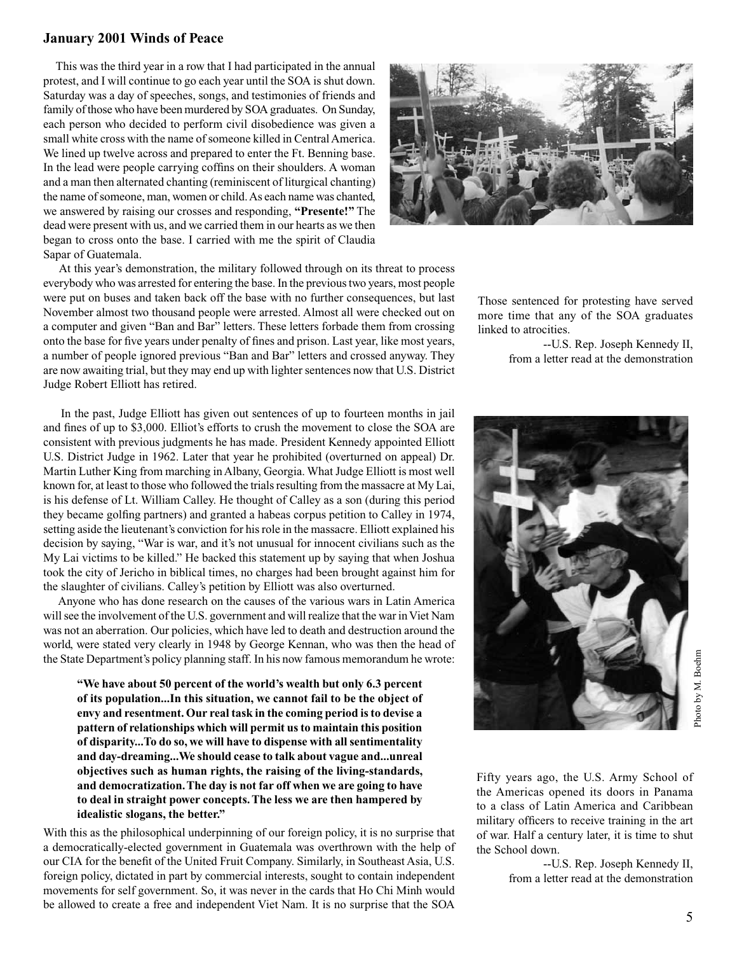#### **January 2001 Winds of Peace**

 This was the third year in a row that I had participated in the annual protest, and I will continue to go each year until the SOA is shut down. Saturday was a day of speeches, songs, and testimonies of friends and family of those who have been murdered by SOA graduates. On Sunday, each person who decided to perform civil disobedience was given a small white cross with the name of someone killed in Central America. We lined up twelve across and prepared to enter the Ft. Benning base. In the lead were people carrying coffins on their shoulders. A woman and a man then alternated chanting (reminiscent of liturgical chanting) the name of someone, man, women or child. As each name was chanted, we answered by raising our crosses and responding, **"Presente!"** The dead were present with us, and we carried them in our hearts as we then began to cross onto the base. I carried with me the spirit of Claudia Sapar of Guatemala.



 At this year's demonstration, the military followed through on its threat to process everybody who was arrested for entering the base. In the previous two years, most people were put on buses and taken back off the base with no further consequences, but last November almost two thousand people were arrested. Almost all were checked out on a computer and given "Ban and Bar" letters. These letters forbade them from crossing onto the base for five years under penalty of fines and prison. Last year, like most years, a number of people ignored previous "Ban and Bar" letters and crossed anyway. They are now awaiting trial, but they may end up with lighter sentences now that U.S. District Judge Robert Elliott has retired.

 In the past, Judge Elliott has given out sentences of up to fourteen months in jail and fines of up to \$3,000. Elliot's efforts to crush the movement to close the SOA are consistent with previous judgments he has made. President Kennedy appointed Elliott U.S. District Judge in 1962. Later that year he prohibited (overturned on appeal) Dr. Martin Luther King from marching in Albany, Georgia. What Judge Elliott is most well known for, at least to those who followed the trials resulting from the massacre at My Lai, is his defense of Lt. William Calley. He thought of Calley as a son (during this period they became golfing partners) and granted a habeas corpus petition to Calley in 1974, setting aside the lieutenant's conviction for his role in the massacre. Elliott explained his decision by saying, "War is war, and it's not unusual for innocent civilians such as the My Lai victims to be killed." He backed this statement up by saying that when Joshua took the city of Jericho in biblical times, no charges had been brought against him for the slaughter of civilians. Calley's petition by Elliott was also overturned.

 Anyone who has done research on the causes of the various wars in Latin America will see the involvement of the U.S. government and will realize that the war in Viet Nam was not an aberration. Our policies, which have led to death and destruction around the world, were stated very clearly in 1948 by George Kennan, who was then the head of the State Department's policy planning staff. In his now famous memorandum he wrote:

**"We have about 50 percent of the world's wealth but only 6.3 percent of its population...In this situation, we cannot fail to be the object of envy and resentment. Our real task in the coming period is to devise a pattern of relationships which will permit us to maintain this position of disparity...To do so, we will have to dispense with all sentimentality and day-dreaming...We should cease to talk about vague and...unreal objectives such as human rights, the raising of the living-standards, and democratization. The day is not far off when we are going to have to deal in straight power concepts. The less we are then hampered by idealistic slogans, the better."**

With this as the philosophical underpinning of our foreign policy, it is no surprise that a democratically-elected government in Guatemala was overthrown with the help of our CIA for the benefit of the United Fruit Company. Similarly, in Southeast Asia, U.S. foreign policy, dictated in part by commercial interests, sought to contain independent movements for self government. So, it was never in the cards that Ho Chi Minh would be allowed to create a free and independent Viet Nam. It is no surprise that the SOA

Those sentenced for protesting have served more time that any of the SOA graduates linked to atrocities.

> --U.S. Rep. Joseph Kennedy II, from a letter read at the demonstration



Fifty years ago, the U.S. Army School of the Americas opened its doors in Panama to a class of Latin America and Caribbean military officers to receive training in the art of war. Half a century later, it is time to shut the School down.

> --U.S. Rep. Joseph Kennedy II, from a letter read at the demonstration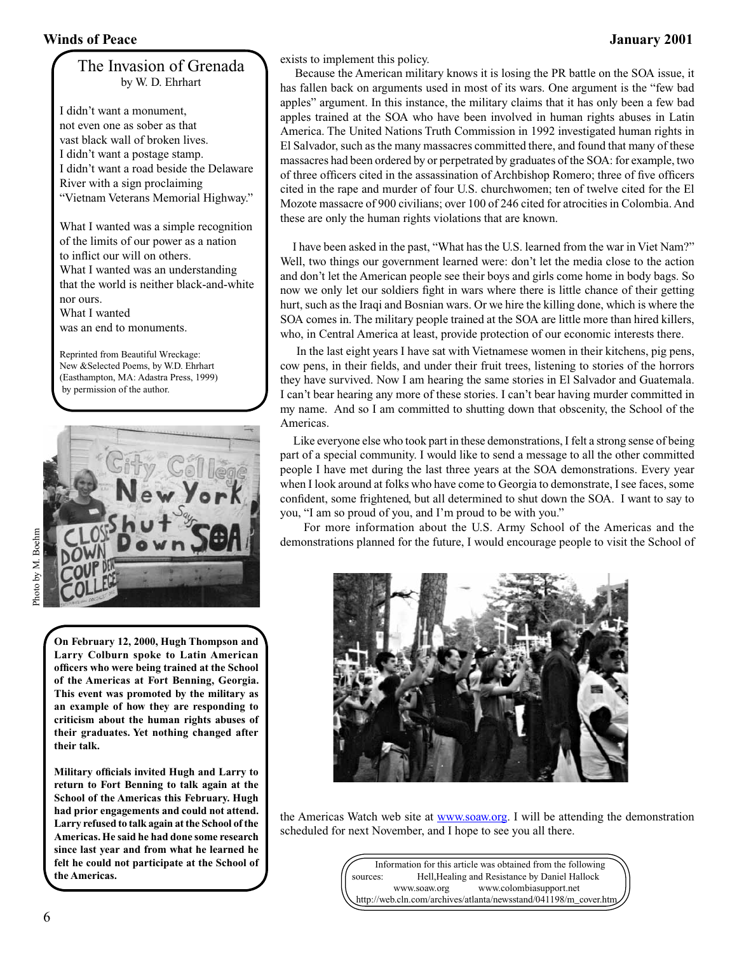#### The Invasion of Grenada by W. D. Ehrhart

I didn't want a monument, not even one as sober as that vast black wall of broken lives. I didn't want a postage stamp. I didn't want a road beside the Delaware River with a sign proclaiming "Vietnam Veterans Memorial Highway."

What I wanted was a simple recognition of the limits of our power as a nation to inflict our will on others. What I wanted was an understanding that the world is neither black‑and‑white nor ours. What I wanted

was an end to monuments.

Reprinted from Beautiful Wreckage: New &Selected Poems, by W.D. Ehrhart (Easthampton, MA: Adastra Press, 1999) by permission of the author.



**On February 12, 2000, Hugh Thompson and Larry Colburn spoke to Latin American officers who were being trained at the School of the Americas at Fort Benning, Georgia. This event was promoted by the military as an example of how they are responding to criticism about the human rights abuses of their graduates. Yet nothing changed after their talk.**

**Military officials invited Hugh and Larry to return to Fort Benning to talk again at the School of the Americas this February. Hugh had prior engagements and could not attend. Larry refused to talk again at the School of the Americas. He said he had done some research since last year and from what he learned he felt he could not participate at the School of the Americas.**

exists to implement this policy.

 Because the American military knows it is losing the PR battle on the SOA issue, it has fallen back on arguments used in most of its wars. One argument is the "few bad apples" argument. In this instance, the military claims that it has only been a few bad apples trained at the SOA who have been involved in human rights abuses in Latin America. The United Nations Truth Commission in 1992 investigated human rights in El Salvador, such as the many massacres committed there, and found that many of these massacres had been ordered by or perpetrated by graduates of the SOA: for example, two of three officers cited in the assassination of Archbishop Romero; three of five officers cited in the rape and murder of four U.S. churchwomen; ten of twelve cited for the El Mozote massacre of 900 civilians; over 100 of 246 cited for atrocities in Colombia. And these are only the human rights violations that are known.

 I have been asked in the past, "What has the U.S. learned from the war in Viet Nam?" Well, two things our government learned were: don't let the media close to the action and don't let the American people see their boys and girls come home in body bags. So now we only let our soldiers fight in wars where there is little chance of their getting hurt, such as the Iraqi and Bosnian wars. Or we hire the killing done, which is where the SOA comes in. The military people trained at the SOA are little more than hired killers, who, in Central America at least, provide protection of our economic interests there.

 In the last eight years I have sat with Vietnamese women in their kitchens, pig pens, cow pens, in their fields, and under their fruit trees, listening to stories of the horrors they have survived. Now I am hearing the same stories in El Salvador and Guatemala. I can't bear hearing any more of these stories. I can't bear having murder committed in my name. And so I am committed to shutting down that obscenity, the School of the Americas.

 Like everyone else who took part in these demonstrations, I felt a strong sense of being part of a special community. I would like to send a message to all the other committed people I have met during the last three years at the SOA demonstrations. Every year when I look around at folks who have come to Georgia to demonstrate, I see faces, some confident, some frightened, but all determined to shut down the SOA. I want to say to you, "I am so proud of you, and I'm proud to be with you."

 For more information about the U.S. Army School of the Americas and the demonstrations planned for the future, I would encourage people to visit the School of



the Americas Watch web site at www.soaw.org. I will be attending the demonstration scheduled for next November, and I hope to see you all there.

> Information for this article was obtained from the following sources: Hell,Healing and Resistance by Daniel Hallock www.soaw.org www.colombiasupport.net http://web.cln.com/archives/atlanta/newsstand/041198/m\_cover.htm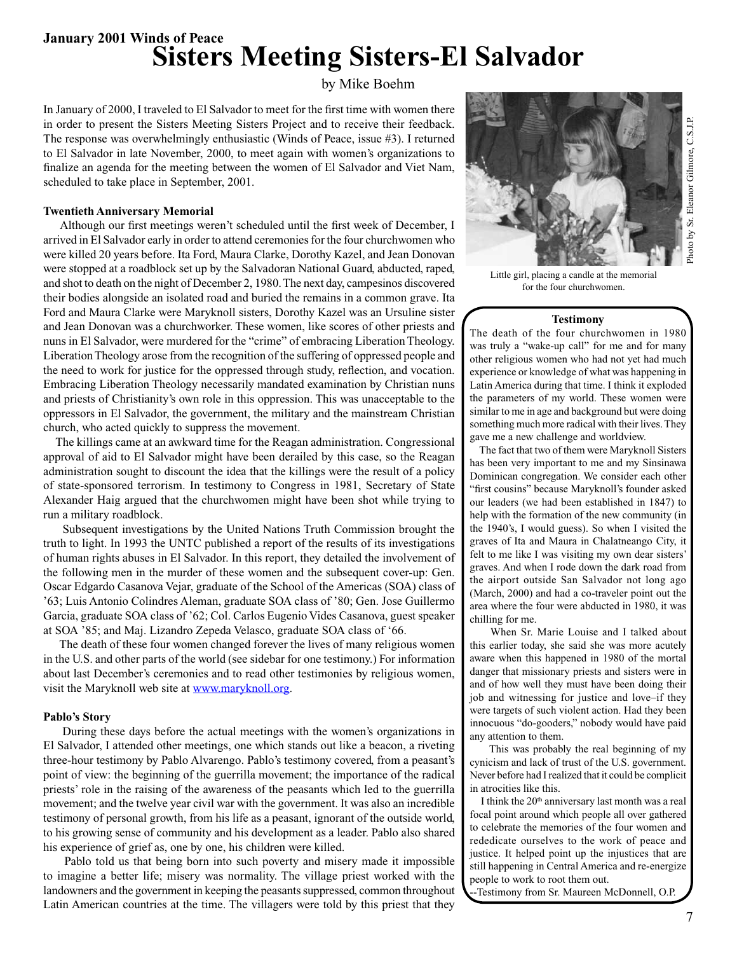**January 2001 Winds of Peace Sisters Meeting Sisters-El Salvador**

by Mike Boehm

In January of 2000, I traveled to El Salvador to meet for the first time with women there in order to present the Sisters Meeting Sisters Project and to receive their feedback. The response was overwhelmingly enthusiastic (Winds of Peace, issue #3). I returned to El Salvador in late November, 2000, to meet again with women's organizations to finalize an agenda for the meeting between the women of El Salvador and Viet Nam, scheduled to take place in September, 2001.

#### **Twentieth Anniversary Memorial**

 Although our first meetings weren't scheduled until the first week of December, I arrived in El Salvador early in order to attend ceremonies for the four churchwomen who were killed 20 years before. Ita Ford, Maura Clarke, Dorothy Kazel, and Jean Donovan were stopped at a roadblock set up by the Salvadoran National Guard, abducted, raped, and shot to death on the night of December 2, 1980. The next day, campesinos discovered their bodies alongside an isolated road and buried the remains in a common grave. Ita Ford and Maura Clarke were Maryknoll sisters, Dorothy Kazel was an Ursuline sister and Jean Donovan was a churchworker. These women, like scores of other priests and nuns in El Salvador, were murdered for the "crime" of embracing Liberation Theology. Liberation Theology arose from the recognition of the suffering of oppressed people and the need to work for justice for the oppressed through study, reflection, and vocation. Embracing Liberation Theology necessarily mandated examination by Christian nuns and priests of Christianity's own role in this oppression. This was unacceptable to the oppressors in El Salvador, the government, the military and the mainstream Christian church, who acted quickly to suppress the movement.

 The killings came at an awkward time for the Reagan administration. Congressional approval of aid to El Salvador might have been derailed by this case, so the Reagan administration sought to discount the idea that the killings were the result of a policy of state‑sponsored terrorism. In testimony to Congress in 1981, Secretary of State Alexander Haig argued that the churchwomen might have been shot while trying to run a military roadblock.

 Subsequent investigations by the United Nations Truth Commission brought the truth to light. In 1993 the UNTC published a report of the results of its investigations of human rights abuses in El Salvador. In this report, they detailed the involvement of the following men in the murder of these women and the subsequent cover‑up: Gen. Oscar Edgardo Casanova Vejar, graduate of the School of the Americas (SOA) class of '63; Luis Antonio Colindres Aleman, graduate SOA class of '80; Gen. Jose Guillermo Garcia, graduate SOA class of '62; Col. Carlos Eugenio Vides Casanova, guest speaker at SOA '85; and Maj. Lizandro Zepeda Velasco, graduate SOA class of '66.

 The death of these four women changed forever the lives of many religious women in the U.S. and other parts of the world (see sidebar for one testimony.) For information about last December's ceremonies and to read other testimonies by religious women, visit the Maryknoll web site at www.maryknoll.org.

#### **Pablo's Story**

 During these days before the actual meetings with the women's organizations in El Salvador, I attended other meetings, one which stands out like a beacon, a riveting three-hour testimony by Pablo Alvarengo. Pablo's testimony covered, from a peasant's point of view: the beginning of the guerrilla movement; the importance of the radical priests' role in the raising of the awareness of the peasants which led to the guerrilla movement; and the twelve year civil war with the government. It was also an incredible testimony of personal growth, from his life as a peasant, ignorant of the outside world, to his growing sense of community and his development as a leader. Pablo also shared his experience of grief as, one by one, his children were killed.

 Pablo told us that being born into such poverty and misery made it impossible to imagine a better life; misery was normality. The village priest worked with the landowners and the government in keeping the peasants suppressed, common throughout Latin American countries at the time. The villagers were told by this priest that they



Little girl, placing a candle at the memorial for the four churchwomen.

#### **Testimony**

The death of the four churchwomen in 1980 was truly a "wake-up call" for me and for many other religious women who had not yet had much experience or knowledge of what was happening in Latin America during that time. I think it exploded the parameters of my world. These women were similar to me in age and background but were doing something much more radical with their lives. They gave me a new challenge and worldview.

 The fact that two of them were Maryknoll Sisters has been very important to me and my Sinsinawa Dominican congregation. We consider each other "first cousins" because Maryknoll's founder asked our leaders (we had been established in 1847) to help with the formation of the new community (in the 1940's, I would guess). So when I visited the graves of Ita and Maura in Chalatneango City, it felt to me like I was visiting my own dear sisters' graves. And when I rode down the dark road from the airport outside San Salvador not long ago (March, 2000) and had a co-traveler point out the area where the four were abducted in 1980, it was chilling for me.

 When Sr. Marie Louise and I talked about this earlier today, she said she was more acutely aware when this happened in 1980 of the mortal danger that missionary priests and sisters were in and of how well they must have been doing their job and witnessing for justice and love–if they were targets of such violent action. Had they been innocuous "do‑gooders," nobody would have paid any attention to them.

 This was probably the real beginning of my cynicism and lack of trust of the U.S. government. Never before had I realized that it could be complicit in atrocities like this.

 I think the 20th anniversary last month was a real focal point around which people all over gathered to celebrate the memories of the four women and rededicate ourselves to the work of peace and justice. It helped point up the injustices that are still happening in Central America and re‑energize people to work to root them out.

-Testimony from Sr. Maureen McDonnell, O.P.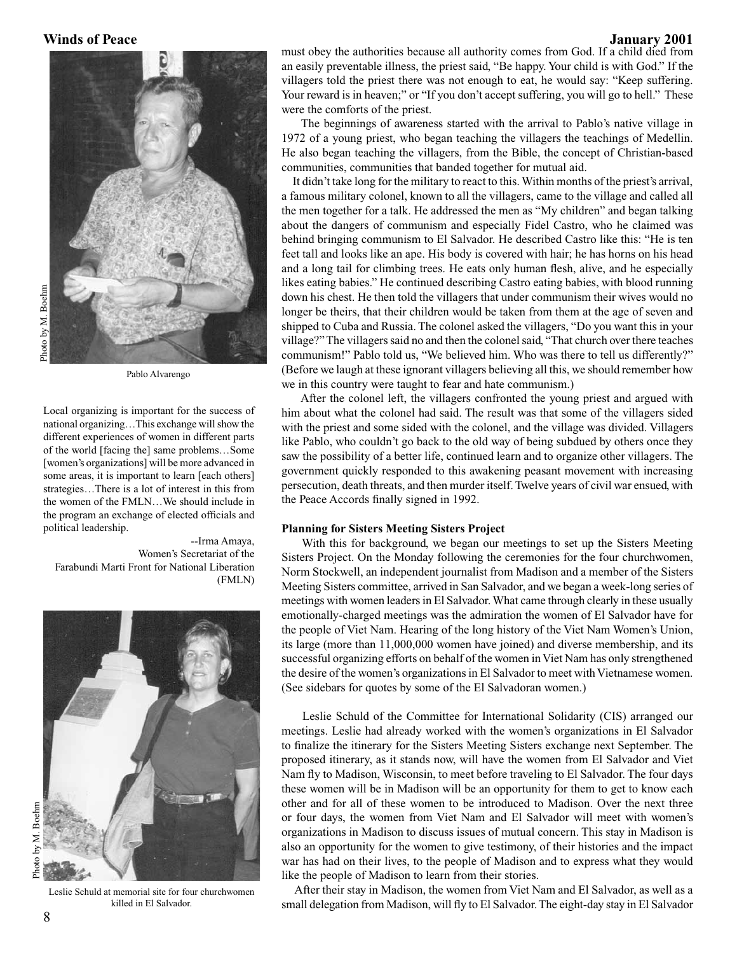

Pablo Alvarengo

Local organizing is important for the success of national organizing…This exchange will show the different experiences of women in different parts of the world [facing the] same problems…Some [women's organizations] will be more advanced in some areas, it is important to learn [each others] strategies…There is a lot of interest in this from the women of the FMLN…We should include in the program an exchange of elected officials and political leadership.

--Irma Amaya, Women's Secretariat of the Farabundi Marti Front for National Liberation (FMLN)



Leslie Schuld at memorial site for four churchwomen killed in El Salvador.

must obey the authorities because all authority comes from God. If a child died from an easily preventable illness, the priest said, "Be happy. Your child is with God." If the villagers told the priest there was not enough to eat, he would say: "Keep suffering. Your reward is in heaven;" or "If you don't accept suffering, you will go to hell." These were the comforts of the priest.

 The beginnings of awareness started with the arrival to Pablo's native village in 1972 of a young priest, who began teaching the villagers the teachings of Medellin. He also began teaching the villagers, from the Bible, the concept of Christian-based communities, communities that banded together for mutual aid.

 It didn't take long for the military to react to this. Within months of the priest's arrival, a famous military colonel, known to all the villagers, came to the village and called all the men together for a talk. He addressed the men as "My children" and began talking about the dangers of communism and especially Fidel Castro, who he claimed was behind bringing communism to El Salvador. He described Castro like this: "He is ten feet tall and looks like an ape. His body is covered with hair; he has horns on his head and a long tail for climbing trees. He eats only human flesh, alive, and he especially likes eating babies." He continued describing Castro eating babies, with blood running down his chest. He then told the villagers that under communism their wives would no longer be theirs, that their children would be taken from them at the age of seven and shipped to Cuba and Russia. The colonel asked the villagers, "Do you want this in your village?" The villagers said no and then the colonel said, "That church over there teaches communism!" Pablo told us, "We believed him. Who was there to tell us differently?" (Before we laugh at these ignorant villagers believing all this, we should remember how we in this country were taught to fear and hate communism.)

 After the colonel left, the villagers confronted the young priest and argued with him about what the colonel had said. The result was that some of the villagers sided with the priest and some sided with the colonel, and the village was divided. Villagers like Pablo, who couldn't go back to the old way of being subdued by others once they saw the possibility of a better life, continued learn and to organize other villagers. The government quickly responded to this awakening peasant movement with increasing persecution, death threats, and then murder itself. Twelve years of civil war ensued, with the Peace Accords finally signed in 1992.

#### **Planning for Sisters Meeting Sisters Project**

 With this for background, we began our meetings to set up the Sisters Meeting Sisters Project. On the Monday following the ceremonies for the four churchwomen, Norm Stockwell, an independent journalist from Madison and a member of the Sisters Meeting Sisters committee, arrived in San Salvador, and we began a week‑long series of meetings with women leaders in El Salvador. What came through clearly in these usually emotionally-charged meetings was the admiration the women of El Salvador have for the people of Viet Nam. Hearing of the long history of the Viet Nam Women's Union, its large (more than 11,000,000 women have joined) and diverse membership, and its successful organizing efforts on behalf of the women in Viet Nam has only strengthened the desire of the women's organizations in El Salvador to meet with Vietnamese women. (See sidebars for quotes by some of the El Salvadoran women.)

 Leslie Schuld of the Committee for International Solidarity (CIS) arranged our meetings. Leslie had already worked with the women's organizations in El Salvador to finalize the itinerary for the Sisters Meeting Sisters exchange next September. The proposed itinerary, as it stands now, will have the women from El Salvador and Viet Nam fly to Madison, Wisconsin, to meet before traveling to El Salvador. The four days these women will be in Madison will be an opportunity for them to get to know each other and for all of these women to be introduced to Madison. Over the next three or four days, the women from Viet Nam and El Salvador will meet with women's organizations in Madison to discuss issues of mutual concern. This stay in Madison is also an opportunity for the women to give testimony, of their histories and the impact war has had on their lives, to the people of Madison and to express what they would like the people of Madison to learn from their stories.

 After their stay in Madison, the women from Viet Nam and El Salvador, as well as a small delegation from Madison, will fly to El Salvador. The eight-day stay in El Salvador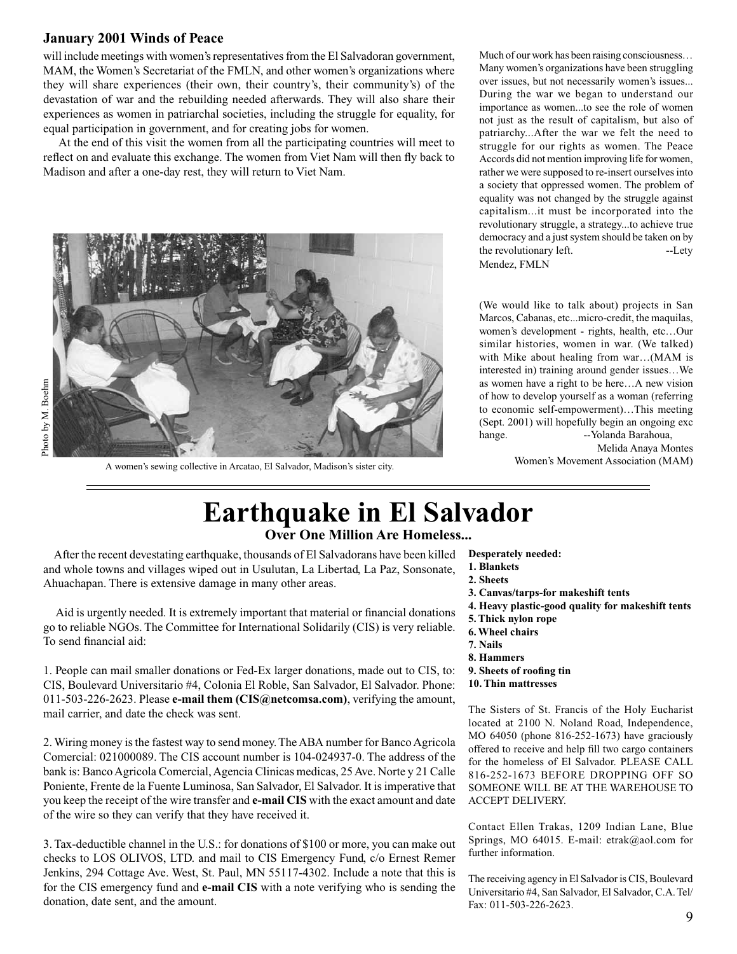#### **January 2001 Winds of Peace**

will include meetings with women's representatives from the El Salvadoran government, MAM, the Women's Secretariat of the FMLN, and other women's organizations where they will share experiences (their own, their country's, their community's) of the devastation of war and the rebuilding needed afterwards. They will also share their experiences as women in patriarchal societies, including the struggle for equality, for equal participation in government, and for creating jobs for women.

 At the end of this visit the women from all the participating countries will meet to reflect on and evaluate this exchange. The women from Viet Nam will then fly back to Madison and after a one-day rest, they will return to Viet Nam.



A women's sewing collective in Arcatao, El Salvador, Madison's sister city.

Much of our work has been raising consciousness… Many women's organizations have been struggling over issues, but not necessarily women's issues... During the war we began to understand our importance as women...to see the role of women not just as the result of capitalism, but also of patriarchy...After the war we felt the need to struggle for our rights as women. The Peace Accords did not mention improving life for women, rather we were supposed to re‑insert ourselves into a society that oppressed women. The problem of equality was not changed by the struggle against capitalism...it must be incorporated into the revolutionary struggle, a strategy...to achieve true democracy and a just system should be taken on by the revolutionary left. The set of  $\sim$ -Lety Mendez, FMLN

(We would like to talk about) projects in San Marcos, Cabanas, etc...micro‑credit, the maquilas, women's development ‑ rights, health, etc…Our similar histories, women in war. (We talked) with Mike about healing from war…(MAM is interested in) training around gender issues…We as women have a right to be here…A new vision of how to develop yourself as a woman (referring to economic self-empowerment)...This meeting (Sept. 2001) will hopefully begin an ongoing exc hange. -- Yolanda Barahoua,

Melida Anaya Montes

Women's Movement Association (MAM)

### **Earthquake in El Salvador Over One Million Are Homeless...**

 After the recent devestating earthquake, thousands of El Salvadorans have been killed and whole towns and villages wiped out in Usulutan, La Libertad, La Paz, Sonsonate, Ahuachapan. There is extensive damage in many other areas.

 Aid is urgently needed. It is extremely important that material or financial donations go to reliable NGOs. The Committee for International Solidarily (CIS) is very reliable. To send financial aid:

1. People can mail smaller donations or Fed‑Ex larger donations, made out to CIS, to: CIS, Boulevard Universitario #4, Colonia El Roble, San Salvador, El Salvador. Phone: 011-503-226‑2623. Please **e-mail them (CIS@netcomsa.com)**, verifying the amount, mail carrier, and date the check was sent.

2. Wiring money is the fastest way to send money. The ABA number for Banco Agricola Comercial: 021000089. The CIS account number is 104‑024937‑0. The address of the bank is: Banco Agricola Comercial, Agencia Clinicas medicas, 25 Ave. Norte y 21 Calle Poniente, Frente de la Fuente Luminosa, San Salvador, El Salvador. It is imperative that you keep the receipt of the wire transfer and **e-mail CIS** with the exact amount and date of the wire so they can verify that they have received it.

3. Tax‑deductible channel in the U.S.: for donations of \$100 or more, you can make out checks to LOS OLIVOS, LTD. and mail to CIS Emergency Fund, c/o Ernest Remer Jenkins, 294 Cottage Ave. West, St. Paul, MN 55117‑4302. Include a note that this is for the CIS emergency fund and **e-mail CIS** with a note verifying who is sending the donation, date sent, and the amount.

- **Desperately needed:**
- **1. Blankets**
- **2. Sheets**
- **3. Canvas/tarps-for makeshift tents**
- **4. Heavy plastic-good quality for makeshift tents**
- **5. Thick nylon rope**
- **6. Wheel chairs**
- **7. Nails**
- **8. Hammers**
- **9. Sheets of roofing tin**
- **10. Thin mattresses**

The Sisters of St. Francis of the Holy Eucharist located at 2100 N. Noland Road, Independence, MO 64050 (phone 816-252‑1673) have graciously offered to receive and help fill two cargo containers for the homeless of El Salvador. PLEASE CALL 816-252‑1673 BEFORE DROPPING OFF SO SOMEONE WILL BE AT THE WAREHOUSE TO ACCEPT DELIVERY.

Contact Ellen Trakas, 1209 Indian Lane, Blue Springs, MO 64015. E-mail: etrak@aol.com for further information.

The receiving agency in El Salvador is CIS, Boulevard Universitario #4, San Salvador, El Salvador, C.A. Tel/ Fax: 011-503-226-2623.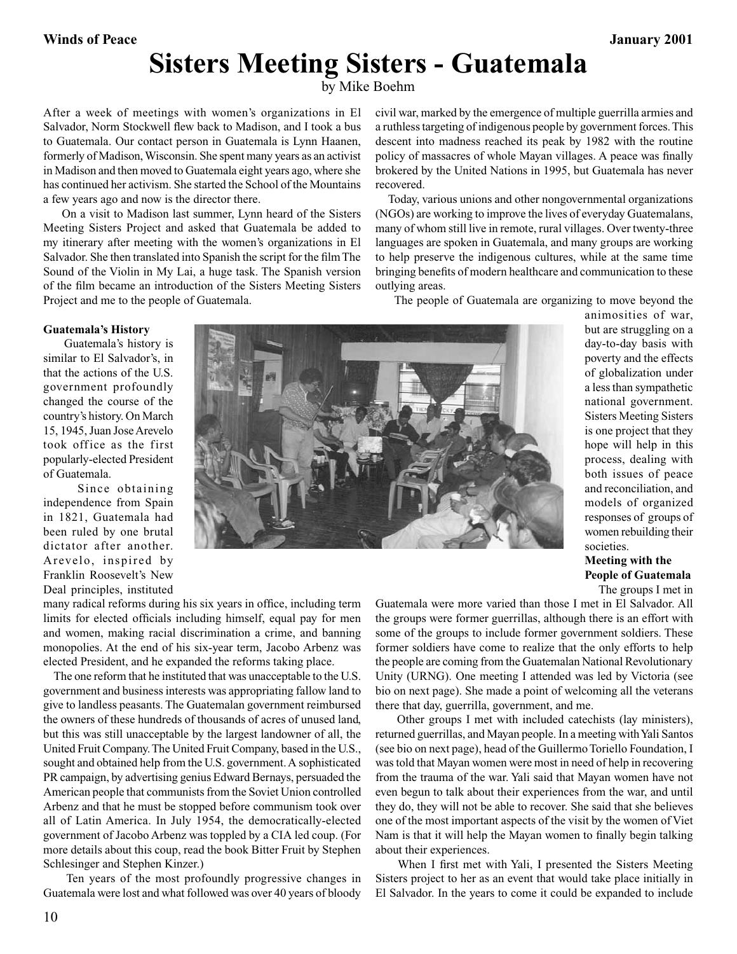## **Sisters Meeting Sisters - Guatemala**

by Mike Boehm

After a week of meetings with women's organizations in El Salvador, Norm Stockwell flew back to Madison, and I took a bus to Guatemala. Our contact person in Guatemala is Lynn Haanen, formerly of Madison, Wisconsin. She spent many years as an activist in Madison and then moved to Guatemala eight years ago, where she has continued her activism. She started the School of the Mountains a few years ago and now is the director there.

 On a visit to Madison last summer, Lynn heard of the Sisters Meeting Sisters Project and asked that Guatemala be added to my itinerary after meeting with the women's organizations in El Salvador. She then translated into Spanish the script for the film The Sound of the Violin in My Lai, a huge task. The Spanish version of the film became an introduction of the Sisters Meeting Sisters Project and me to the people of Guatemala.

civil war, marked by the emergence of multiple guerrilla armies and a ruthless targeting of indigenous people by government forces. This descent into madness reached its peak by 1982 with the routine policy of massacres of whole Mayan villages. A peace was finally brokered by the United Nations in 1995, but Guatemala has never recovered.

 Today, various unions and other nongovernmental organizations (NGOs) are working to improve the lives of everyday Guatemalans, many of whom still live in remote, rural villages. Over twenty-three languages are spoken in Guatemala, and many groups are working to help preserve the indigenous cultures, while at the same time bringing benefits of modern healthcare and communication to these outlying areas.

The people of Guatemala are organizing to move beyond the

#### **Guatemala's History**

 Guatemala's history is similar to El Salvador's, in that the actions of the U.S. government profoundly changed the course of the country's history. On March 15, 1945, Juan Jose Arevelo took office as the first popularly-elected President of Guatemala.

 Since obtaining independence from Spain in 1821, Guatemala had been ruled by one brutal dictator after another. Arevelo, inspired by Franklin Roosevelt's New Deal principles, instituted

many radical reforms during his six years in office, including term limits for elected officials including himself, equal pay for men and women, making racial discrimination a crime, and banning monopolies. At the end of his six-year term, Jacobo Arbenz was elected President, and he expanded the reforms taking place.

 The one reform that he instituted that was unacceptable to the U.S. government and business interests was appropriating fallow land to give to landless peasants. The Guatemalan government reimbursed the owners of these hundreds of thousands of acres of unused land, but this was still unacceptable by the largest landowner of all, the United Fruit Company. The United Fruit Company, based in the U.S., sought and obtained help from the U.S. government. A sophisticated PR campaign, by advertising genius Edward Bernays, persuaded the American people that communists from the Soviet Union controlled Arbenz and that he must be stopped before communism took over all of Latin America. In July 1954, the democratically-elected government of Jacobo Arbenz was toppled by a CIA led coup. (For more details about this coup, read the book Bitter Fruit by Stephen Schlesinger and Stephen Kinzer.)

 Ten years of the most profoundly progressive changes in Guatemala were lost and what followed was over 40 years of bloody



animosities of war, but are struggling on a day‑to‑day basis with poverty and the effects of globalization under a less than sympathetic national government. Sisters Meeting Sisters is one project that they hope will help in this process, dealing with both issues of peace and reconciliation, and models of organized responses of groups of women rebuilding their societies.

**Meeting with the People of Guatemala**

The groups I met in

Guatemala were more varied than those I met in El Salvador. All the groups were former guerrillas, although there is an effort with some of the groups to include former government soldiers. These former soldiers have come to realize that the only efforts to help the people are coming from the Guatemalan National Revolutionary Unity (URNG). One meeting I attended was led by Victoria (see bio on next page). She made a point of welcoming all the veterans there that day, guerrilla, government, and me.

 Other groups I met with included catechists (lay ministers), returned guerrillas, and Mayan people. In a meeting with Yali Santos (see bio on next page), head of the Guillermo Toriello Foundation, I was told that Mayan women were most in need of help in recovering from the trauma of the war. Yali said that Mayan women have not even begun to talk about their experiences from the war, and until they do, they will not be able to recover. She said that she believes one of the most important aspects of the visit by the women of Viet Nam is that it will help the Mayan women to finally begin talking about their experiences.

 When I first met with Yali, I presented the Sisters Meeting Sisters project to her as an event that would take place initially in El Salvador. In the years to come it could be expanded to include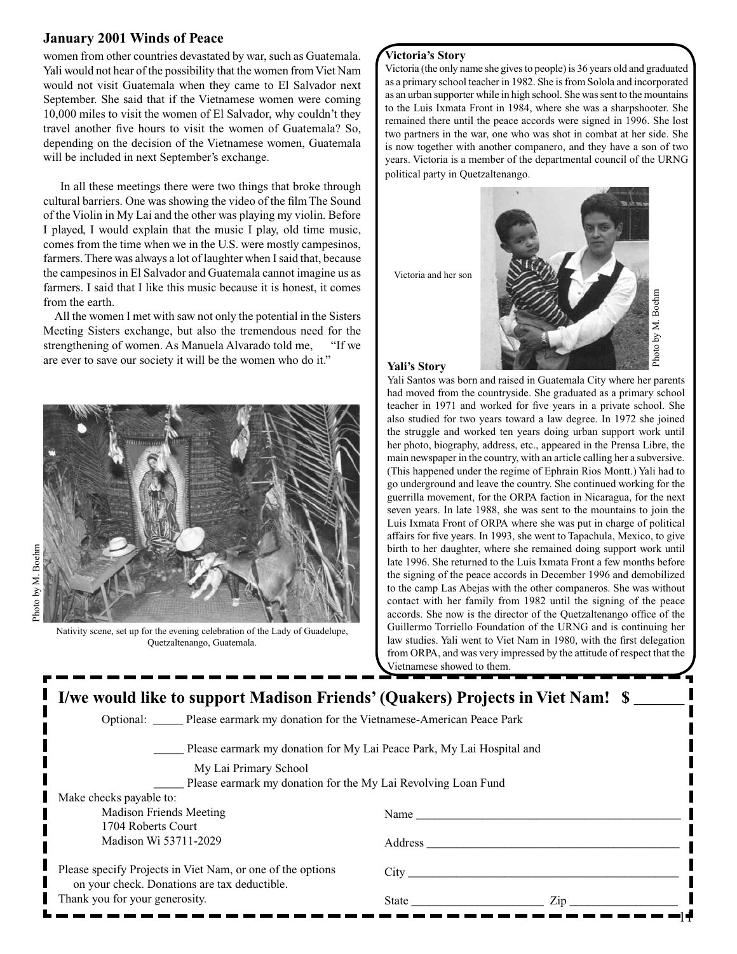#### **January 2001 Winds of Peace**

women from other countries devastated by war, such as Guatemala. Yali would not hear of the possibility that the women from Viet Nam would not visit Guatemala when they came to El Salvador next September. She said that if the Vietnamese women were coming 10,000 miles to visit the women of El Salvador, why couldn't they travel another five hours to visit the women of Guatemala? So, depending on the decision of the Vietnamese women, Guatemala will be included in next September's exchange.

 In all these meetings there were two things that broke through cultural barriers. One was showing the video of the film The Sound of the Violin in My Lai and the other was playing my violin. Before I played, I would explain that the music I play, old time music, comes from the time when we in the U.S. were mostly campesinos, farmers. There was always a lot of laughter when I said that, because the campesinos in El Salvador and Guatemala cannot imagine us as farmers. I said that I like this music because it is honest, it comes from the earth.

 All the women I met with saw not only the potential in the Sisters Meeting Sisters exchange, but also the tremendous need for the strengthening of women. As Manuela Alvarado told me, "If we are ever to save our society it will be the women who do it." **Yali's Story**



 Nativity scene, set up for the evening celebration of the Lady of Guadelupe, Quetzaltenango, Guatemala.

#### **Victoria's Story**

Victoria (the only name she gives to people) is 36 years old and graduated as a primary school teacher in 1982. She is from Solola and incorporated as an urban supporter while in high school. She was sent to the mountains to the Luis Ixmata Front in 1984, where she was a sharpshooter. She remained there until the peace accords were signed in 1996. She lost two partners in the war, one who was shot in combat at her side. She is now together with another companero, and they have a son of two years. Victoria is a member of the departmental council of the URNG political party in Quetzaltenango.

Victoria and her son



Yali Santos was born and raised in Guatemala City where her parents had moved from the countryside. She graduated as a primary school teacher in 1971 and worked for five years in a private school. She also studied for two years toward a law degree. In 1972 she joined the struggle and worked ten years doing urban support work until her photo, biography, address, etc., appeared in the Prensa Libre, the main newspaper in the country, with an article calling her a subversive. (This happened under the regime of Ephrain Rios Montt.) Yali had to go underground and leave the country. She continued working for the guerrilla movement, for the ORPA faction in Nicaragua, for the next seven years. In late 1988, she was sent to the mountains to join the Luis Ixmata Front of ORPA where she was put in charge of political affairs for five years. In 1993, she went to Tapachula, Mexico, to give birth to her daughter, where she remained doing support work until late 1996. She returned to the Luis Ixmata Front a few months before the signing of the peace accords in December 1996 and demobilized to the camp Las Abejas with the other companeros. She was without contact with her family from 1982 until the signing of the peace accords. She now is the director of the Quetzaltenango office of the Guillermo Torriello Foundation of the URNG and is continuing her law studies. Yali went to Viet Nam in 1980, with the first delegation from ORPA, and was very impressed by the attitude of respect that the Vietnamese showed to them.

| I/we would like to support Madison Friends' (Quakers) Projects in Viet Nam! \$                             |                                                                                                                                                                                                                                                    |  |
|------------------------------------------------------------------------------------------------------------|----------------------------------------------------------------------------------------------------------------------------------------------------------------------------------------------------------------------------------------------------|--|
|                                                                                                            | Optional: Please earmark my donation for the Vietnamese-American Peace Park                                                                                                                                                                        |  |
|                                                                                                            | Please earmark my donation for My Lai Peace Park, My Lai Hospital and                                                                                                                                                                              |  |
| My Lai Primary School                                                                                      |                                                                                                                                                                                                                                                    |  |
|                                                                                                            | Please earmark my donation for the My Lai Revolving Loan Fund                                                                                                                                                                                      |  |
| Make checks payable to:                                                                                    |                                                                                                                                                                                                                                                    |  |
| <b>Madison Friends Meeting</b>                                                                             | Name and the same state of the state of the state of the state of the state of the state of the state of the state of the state of the state of the state of the state of the state of the state of the state of the state of                      |  |
| 1704 Roberts Court                                                                                         |                                                                                                                                                                                                                                                    |  |
| Madison Wi 53711-2029                                                                                      | Address and the state of the state of the state of the state of the state of the state of the state of the state of the state of the state of the state of the state of the state of the state of the state of the state of th                     |  |
| Please specify Projects in Viet Nam, or one of the options<br>on your check. Donations are tax deductible. |                                                                                                                                                                                                                                                    |  |
| Thank you for your generosity.                                                                             | $\mathsf{Zip}\_$<br>State in the state of the state in the state in the state of the state in the state in the state in the state of the state in the state in the state in the state in the state in the state in the state in the state in the s |  |
|                                                                                                            |                                                                                                                                                                                                                                                    |  |